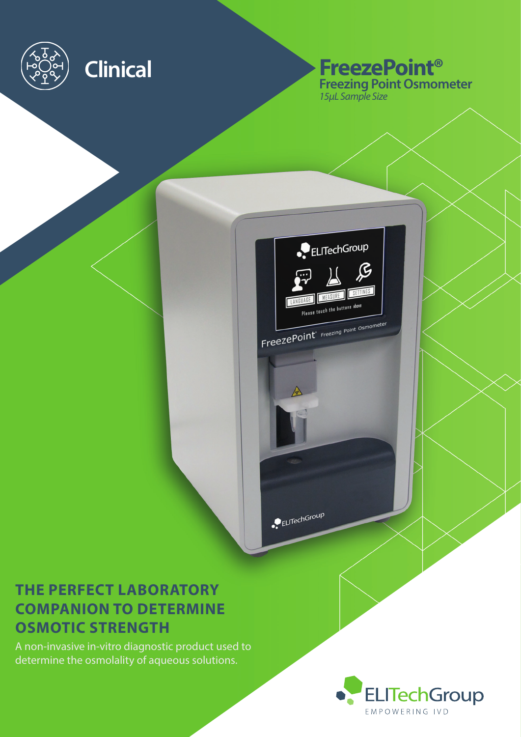

# **Clinical FreezePoint® Freezing Point Osmometer** *15µL Sample Size*



ELITechGroup

# **THE PERFECT LABORATORY COMPANION TO DETERMINE OSMOTIC STRENGTH**

A non-invasive in-vitro diagnostic product used to determine the osmolality of aqueous solutions.